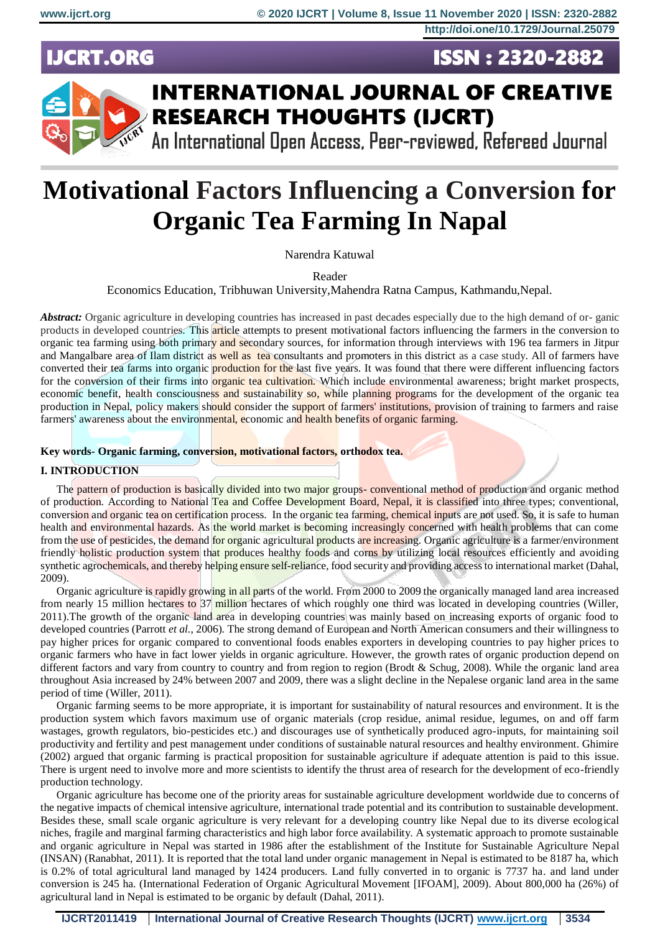**ISSN: 2320-2882** 

# **IJCRT.ORG**



# **INTERNATIONAL JOURNAL OF CREATIVE RESEARCH THOUGHTS (IJCRT)**

An International Open Access, Peer-reviewed, Refereed Journal

# **Motivational Factors Influencing a Conversion for Organic Tea Farming In Napal**

Narendra Katuwal

Reader

Economics Education, Tribhuwan University,Mahendra Ratna Campus, Kathmandu,Nepal.

*Abstract:* Organic agriculture in developing countries has increased in past decades especially due to the high demand of or- ganic products in developed countries. This article attempts to present motivational factors influencing the farmers in the conversion to organic tea farming using both primary and secondary sources, for information through interviews with 196 tea farmers in Jitpur and Mangalbare area of Ilam district as well as tea consultants and promoters in this district as a case study. All of farmers have converted their tea farms into organic **production for the** last five years. It was found that there were different influencing factors for the conversion of their firms into **organic tea cultivation**. Which include environmental awareness; bright market prospects, economic benefit, health consciousness and sustainability so, while planning programs for the development of the organic tea production in Nepal, policy makers should consider the support of farmers' institutions, provision of training to farmers and raise farmers' awareness about the environmental, economic and health benefits of organic farming.

# **Key words- Organic farming, conversion, motivational factors, orthodox tea.**

# **I. INTRODUCTION**

The pattern of production is basically divided into two major groups-conventional method of production and organic method of production. According to National Tea and Coffee Development Board, Nepal, it is classified into three types; conventional, conversion and organic tea on certification process. In the organic tea farming, chemical inputs are not used. So, it is safe to human health and environmental hazards. As the world market is becoming increasingly concerned with health problems that can come from the use of pesticides, the demand for organic agricultural products are increasing. Organic agriculture is a farmer/environment friendly holistic production system that produces healthy foods and corns by utilizing local resources efficiently and avoiding synthetic agrochemicals, and thereby helping ensure self-reliance, food security and providing access to international market (Dahal, 2009).

Organic agriculture is rapidly growing in all parts of the world. From 2000 to 2009 the organically managed land area increased from nearly 15 million hectares to 37 million hectares of which roughly one third was located in developing countries (Willer, 2011).The growth of the organic land area in developing countries was mainly based on increasing exports of organic food to developed countries (Parrott *et al.*, 2006). The strong demand of European and North American consumers and their willingness to pay higher prices for organic compared to conventional foods enables exporters in developing countries to pay higher prices to organic farmers who have in fact lower yields in organic agriculture. However, the growth rates of organic production depend on different factors and vary from country to country and from region to region (Brodt & Schug, 2008). While the organic land area throughout Asia increased by 24% between 2007 and 2009, there was a slight decline in the Nepalese organic land area in the same period of time (Willer, 2011).

Organic farming seems to be more appropriate, it is important for sustainability of natural resources and environment. It is the production system which favors maximum use of organic materials (crop residue, animal residue, legumes, on and off farm wastages, growth regulators, bio-pesticides etc.) and discourages use of synthetically produced agro-inputs, for maintaining soil productivity and fertility and pest management under conditions of sustainable natural resources and healthy environment. Ghimire (2002) argued that organic farming is practical proposition for sustainable agriculture if adequate attention is paid to this issue. There is urgent need to involve more and more scientists to identify the thrust area of research for the development of eco-friendly production technology.

Organic agriculture has become one of the priority areas for sustainable agriculture development worldwide due to concerns of the negative impacts of chemical intensive agriculture, international trade potential and its contribution to sustainable development. Besides these, small scale organic agriculture is very relevant for a developing country like Nepal due to its diverse ecological niches, fragile and marginal farming characteristics and high labor force availability. A systematic approach to promote sustainable and organic agriculture in Nepal was started in 1986 after the establishment of the Institute for Sustainable Agriculture Nepal (INSAN) (Ranabhat, 2011). It is reported that the total land under organic management in Nepal is estimated to be 8187 ha, which is 0.2% of total agricultural land managed by 1424 producers. Land fully converted in to organic is 7737 ha. and land under conversion is 245 ha. (International Federation of Organic Agricultural Movement [IFOAM], 2009). About 800,000 ha (26%) of agricultural land in Nepal is estimated to be organic by default (Dahal, 2011).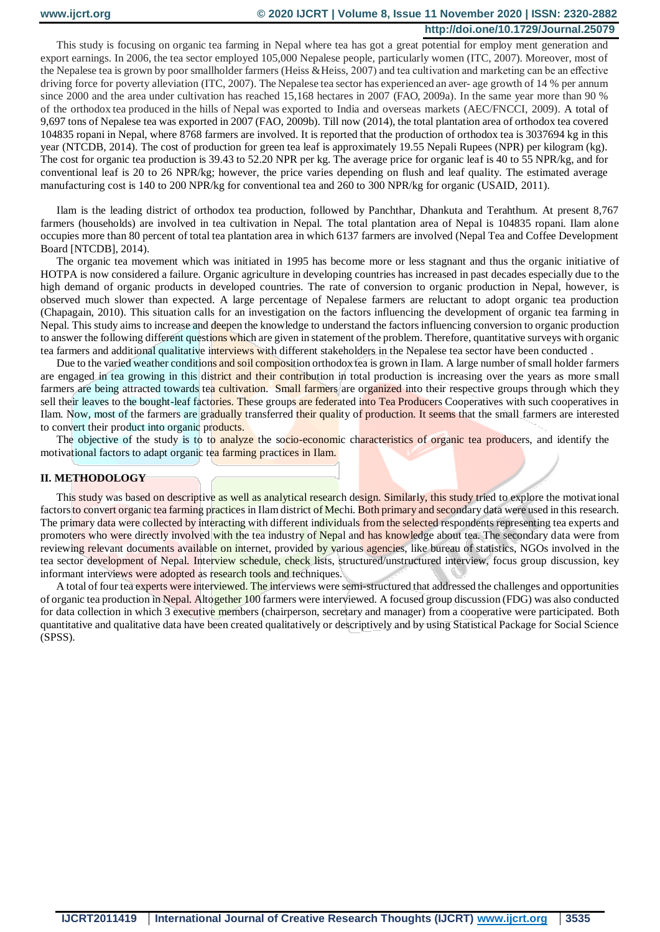This study is focusing on organic tea farming in Nepal where tea has got a great potential for employ ment generation and export earnings. In 2006, the tea sector employed 105,000 Nepalese people, particularly women (ITC, 2007). Moreover, most of the Nepalese tea is grown by poor smallholder farmers (Heiss & Heiss, 2007) and tea cultivation and marketing can be an effective driving force for poverty alleviation (ITC, 2007). The Nepalese tea sector has experienced an aver- age growth of 14 % per annum since 2000 and the area under cultivation has reached 15,168 hectares in 2007 (FAO, 2009a). In the same year more than 90 % of the orthodox tea produced in the hills of Nepal was exported to India and overseas markets (AEC/FNCCI, 2009). A total of 9,697 tons of Nepalese tea was exported in 2007 (FAO, 2009b). Till now (2014), the total plantation area of orthodox tea covered 104835 ropani in Nepal, where 8768 farmers are involved. It is reported that the production of orthodox tea is 3037694 kg in this year (NTCDB, 2014). The cost of production for green tea leaf is approximately 19.55 Nepali Rupees (NPR) per kilogram (kg). The cost for organic tea production is 39.43 to 52.20 NPR per kg. The average price for organic leaf is 40 to 55 NPR/kg, and for conventional leaf is 20 to 26 NPR/kg; however, the price varies depending on flush and leaf quality. The estimated average manufacturing cost is 140 to 200 NPR/kg for conventional tea and 260 to 300 NPR/kg for organic (USAID, 2011).

Ilam is the leading district of orthodox tea production, followed by Panchthar, Dhankuta and Terahthum. At present 8,767 farmers (households) are involved in tea cultivation in Nepal. The total plantation area of Nepal is 104835 ropani. Ilam alone occupies more than 80 percent of total tea plantation area in which 6137 farmers are involved (Nepal Tea and Coffee Development Board [NTCDB], 2014).

The organic tea movement which was initiated in 1995 has become more or less stagnant and thus the organic initiative of HOTPA is now considered a failure. Organic agriculture in developing countries has increased in past decades especially due to the high demand of organic products in developed countries. The rate of conversion to organic production in Nepal, however, is observed much slower than expected. A large percentage of Nepalese farmers are reluctant to adopt organic tea production (Chapagain, 2010). This situation calls for an investigation on the factors influencing the development of organic tea farming in Nepal. This study aims to increase and deepen the knowledge to understand the factors influencing conversion to organic production to answer the following different questions which are given in statement of the problem. Therefore, quantitative surveys with organic tea farmers and additional qualitative interviews with different stakeholders in the Nepalese tea sector have been conducted .

Due to the varied weather conditions and soil composition orthodox tea is grown in Ilam. A large number of small holder farmers are engaged in tea growing in this district and their contribution in total production is increasing over the years as more small farmers are being attracted towards tea cultivation. Small farmers are organized into their respective groups through which they sell their leaves to the bought-leaf factories. These groups are federated into Tea Producers Cooperatives with such cooperatives in Ilam. Now, most of the farmers are gradually transferred their quality of production. It seems that the small farmers are interested to convert their product into organic products.

The objective of the study is to to analyze the socio-economic characteristics of organic tea producers, and identify the motivational factors to adapt organic tea farming practices in Ilam.

#### **II. METHODOLOGY**

This study was based on descriptive as well as analytical research design. Similarly, this study tried to explore the motivational factors to convert organic tea farming practices in Ilam district of Mechi. Both primary and secondary data were used in this research. The primary data were collected by interacting with different individuals from the selected respondents representing tea experts and promoters who were directly involved with the tea industry of Nepal and has knowledge about tea. The secondary data were from reviewing relevant documents available on internet, provided by various agencies, like bureau of statistics, NGOs involved in the tea sector development of Nepal. Interview schedule, check lists, structured/unstructured interview, focus group discussion, key informant interviews were adopted as research tools and techniques.

A total of four tea experts were interviewed. The interviews were semi-structured that addressed the challenges and opportunities of organic tea production in Nepal. Altogether 100 farmers were interviewed. A focused group discussion (FDG) was also conducted for data collection in which 3 executive members (chairperson, secretary and manager) from a cooperative were participated. Both quantitative and qualitative data have been created qualitatively or descriptively and by using Statistical Package for Social Science (SPSS).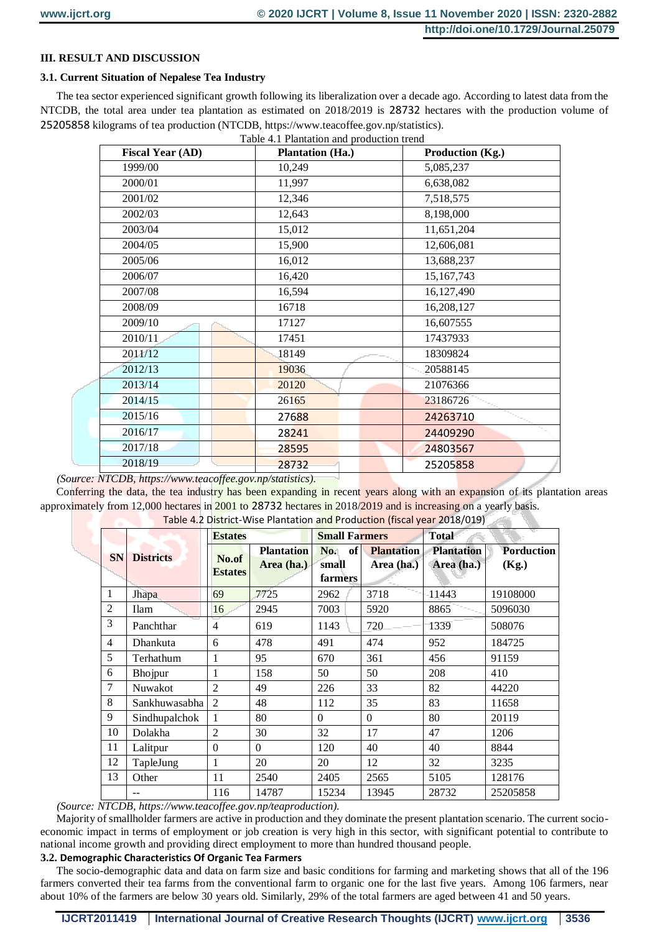### **III. RESULT AND DISCUSSION**

#### **3.1. Current Situation of Nepalese Tea Industry**

The tea sector experienced significant growth following its liberalization over a decade ago. According to latest data from the NTCDB, the total area under tea plantation as estimated on 2018/2019 is 28732 hectares with the production volume of 25205858 kilograms of tea production (NTCDB, https://www.teacoffee.gov.np/statistics).

|  | Table 4.1 Plantation and production trend |  |
|--|-------------------------------------------|--|

| <b>Fiscal Year (AD)</b> | <b>Plantation (Ha.)</b> | Production (Kg.) |
|-------------------------|-------------------------|------------------|
| 1999/00                 | 10,249                  | 5,085,237        |
| 2000/01                 | 11,997                  | 6,638,082        |
| 2001/02                 | 12,346                  | 7,518,575        |
| 2002/03                 | 12,643                  | 8,198,000        |
| 2003/04                 | 15,012                  | 11,651,204       |
| 2004/05                 | 15,900                  | 12,606,081       |
| 2005/06                 | 16,012                  | 13,688,237       |
| 2006/07                 | 16,420                  | 15,167,743       |
| 2007/08                 | 16,594                  | 16,127,490       |
| 2008/09                 | 16718                   | 16,208,127       |
| 2009/10                 | 17127                   | 16,607555        |
| 2010/11                 | 17451                   | 17437933         |
| 2011/12                 | 18149                   | 18309824         |
| 2012/13                 | 19036                   | 20588145         |
| 2013/14                 | 20120                   | 21076366         |
| 2014/15                 | 26165                   | 23186726         |
| 2015/16                 | 27688                   | 24263710         |
| 2016/17                 | 28241                   | 24409290         |
| 2017/18                 | 28595                   | 24803567         |
| 2018/19                 | 28732                   | 25205858         |

*(Source: NTCDB, https://www.teacoffee.gov.np/statistics).* 

Conferring the data, the tea industry has been expanding in recent years along with an expansion of its plantation areas approximately from 12,000 hectares in 2001 to 28732 hectares in 2018/2019 and is increasing on a yearly basis.

|                | Table 4.2 District-Wise Plantation and Production (fiscal year 2018/019) |                         |                   |                      |            |                   |                   |  |  |  |
|----------------|--------------------------------------------------------------------------|-------------------------|-------------------|----------------------|------------|-------------------|-------------------|--|--|--|
|                |                                                                          | <b>Estates</b>          |                   | <b>Small Farmers</b> |            | <b>Total</b>      |                   |  |  |  |
| <b>SN</b>      | <b>Districts</b>                                                         |                         | <b>Plantation</b> | of<br>No.            | Plantation | <b>Plantation</b> | <b>Porduction</b> |  |  |  |
|                |                                                                          | No.of<br><b>Estates</b> | Area (ha.)        | small                | Area (ha.) | Area (ha.)        | (Kg.)             |  |  |  |
|                |                                                                          |                         |                   | farmers              |            |                   |                   |  |  |  |
| 1              | Jhapa                                                                    | 69                      | 7725              | 2962                 | 3718       | 11443             | 19108000          |  |  |  |
| $\overline{2}$ | <b>Ilam</b>                                                              | 16                      | 2945              | 7003                 | 5920       | 8865              | 5096030           |  |  |  |
| 3              | Panchthar                                                                | 4                       | 619               | 1143                 | 720        | 1339              | 508076            |  |  |  |
| $\overline{4}$ | Dhankuta<br>6                                                            |                         | 478               | 491                  | 474        | 952               | 184725            |  |  |  |
| 5              | Terhathum                                                                | 1                       | 95                | 670                  | 361        | 456               | 91159             |  |  |  |
| 6              | Bhojpur                                                                  | 1                       | 158               | 50                   | 50         | 208               | 410               |  |  |  |
| $\tau$         | Nuwakot                                                                  | $\overline{2}$          | 49                | 226                  | 33         | 82                | 44220             |  |  |  |
| 8              | Sankhuwasabha                                                            | 2                       | 48                | 112                  | 35         | 83                | 11658             |  |  |  |
| 9              | Sindhupalchok                                                            | 1                       | 80                | $\Omega$             | $\Omega$   | 80                | 20119             |  |  |  |
| 10             | Dolakha                                                                  | $\overline{2}$          | 30                | 32                   | 17         | 47                | 1206              |  |  |  |
| 11             | Lalitpur                                                                 | $\Omega$                | $\Omega$          | 120                  | 40         | 40                | 8844              |  |  |  |
| 12             | TapleJung                                                                | 1                       | 20                | 20                   | 12         | 32                | 3235              |  |  |  |
| 13             | Other                                                                    | 11                      | 2540              | 2405                 | 2565       | 5105              | 128176            |  |  |  |
|                | --                                                                       | 116                     | 14787             | 15234                | 13945      | 28732             | 25205858          |  |  |  |

*(Source: NTCDB, https://www.teacoffee.gov.np/teaproduction).* 

Majority of smallholder farmers are active in production and they dominate the present plantation scenario. The current socioeconomic impact in terms of employment or job creation is very high in this sector, with significant potential to contribute to national income growth and providing direct employment to more than hundred thousand people.

# **3.2. Demographic Characteristics Of Organic Tea Farmers**

The socio-demographic data and data on farm size and basic conditions for farming and marketing shows that all of the 196 farmers converted their tea farms from the conventional farm to organic one for the last five years. Among 106 farmers, near about 10% of the farmers are below 30 years old. Similarly, 29% of the total farmers are aged between 41 and 50 years.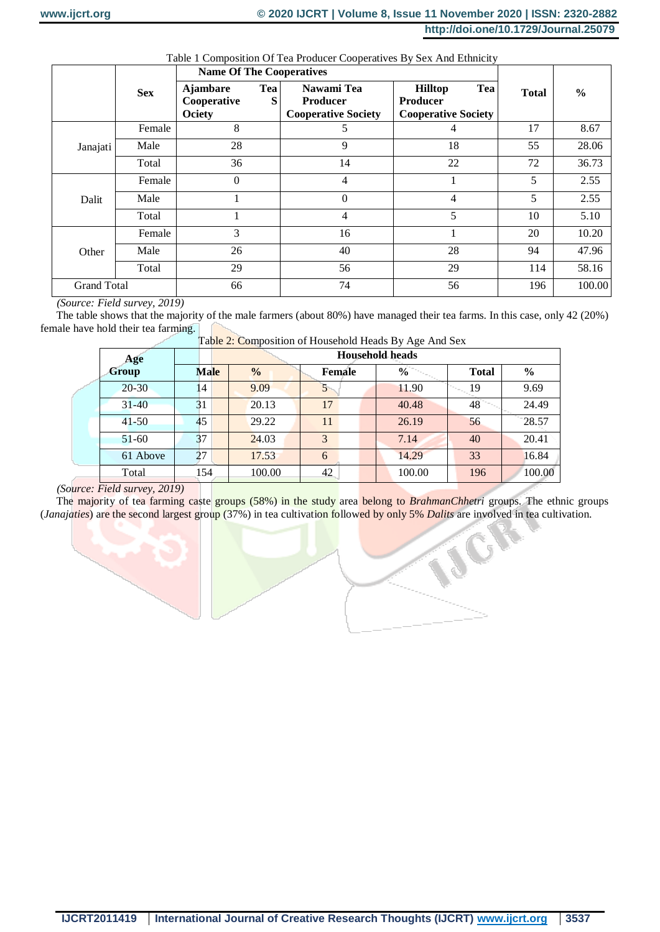G

|  |  |  | Table 1 Composition Of Tea Producer Cooperatives By Sex And Ethnicity |
|--|--|--|-----------------------------------------------------------------------|
|  |  |  |                                                                       |

|                    |            | <b>Name Of The Cooperatives</b>                 |          |                                                             |                                                                        |              |               |
|--------------------|------------|-------------------------------------------------|----------|-------------------------------------------------------------|------------------------------------------------------------------------|--------------|---------------|
|                    | <b>Sex</b> | <b>Ajambare</b><br>Cooperative<br><b>Ociety</b> | Tea<br>S | Nawami Tea<br><b>Producer</b><br><b>Cooperative Society</b> | Tea<br><b>Hilltop</b><br><b>Producer</b><br><b>Cooperative Society</b> | <b>Total</b> | $\frac{0}{0}$ |
|                    | Female     | 8                                               |          | 5                                                           | 4                                                                      | 17           | 8.67          |
| Janajati           | Male       | 28                                              |          | 9                                                           | 18                                                                     | 55           | 28.06         |
|                    | Total      | 36                                              |          | 14                                                          | 22                                                                     | 72           | 36.73         |
|                    | Female     | $\theta$                                        |          | 4                                                           |                                                                        | 5            | 2.55          |
| Dalit              | Male       |                                                 |          | $\theta$                                                    | 4                                                                      | 5            | 2.55          |
|                    | Total      |                                                 |          | 4                                                           | 5                                                                      | 10           | 5.10          |
|                    | Female     | 3                                               |          | 16                                                          |                                                                        | 20           | 10.20         |
| Other              | Male       | 26                                              |          | 40                                                          | 28                                                                     | 94           | 47.96         |
|                    | Total      | 29                                              |          | 56                                                          | 29                                                                     | 114          | 58.16         |
| <b>Grand Total</b> |            | 66                                              |          | 74                                                          | 56                                                                     | 196          | 100.00        |

*(Source: Field survey, 2019)* 

The table shows that the majority of the male farmers (about 80%) have managed their tea farms. In this case, only 42 (20%) female have hold their tea farming.

| Age       | <b>Tuble 2.</b> Composition of Household Heads <b>D</b> $\gamma$ Tige Time best<br><b>Household heads</b> |               |        |               |              |               |  |  |  |  |
|-----------|-----------------------------------------------------------------------------------------------------------|---------------|--------|---------------|--------------|---------------|--|--|--|--|
| Group     | <b>Male</b>                                                                                               | $\frac{0}{0}$ | Female | $\frac{6}{9}$ | <b>Total</b> | $\frac{0}{0}$ |  |  |  |  |
| $20 - 30$ | 14                                                                                                        | 9.09          |        | 11.90         | 19           | 9.69          |  |  |  |  |
| $31 - 40$ | 31                                                                                                        | 20.13         | 17     | 40.48         | 48           | 24.49         |  |  |  |  |
| $41 - 50$ | 45                                                                                                        | 29.22         | 11     | 26.19         | 56           | 28.57         |  |  |  |  |
| $51-60$   | 37                                                                                                        | 24.03         | 3      | 7.14          | 40           | 20.41         |  |  |  |  |
| 61 Above  | 27                                                                                                        | 17.53         | 6      | 14.29         | 33           | 16.84         |  |  |  |  |
| Total     | 154                                                                                                       | 100.00        | 42     | 100.00        | 196          | 100.00        |  |  |  |  |

Table 2: Composition of Household Heads By Age And Sex

# *(Source: Field survey, 2019)*

The majority of tea farming caste groups (58%) in the study area belong to *BrahmanChhetri* groups. The ethnic groups (*Janajaties*) are the second largest group (37%) in tea cultivation followed by only 5% *Dalits* are involved in tea cultivation.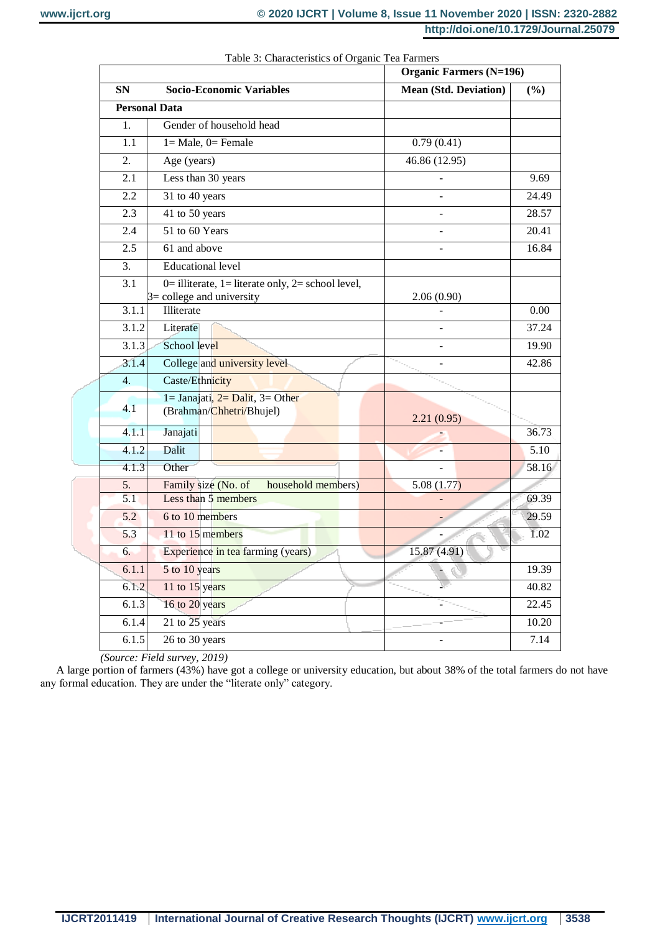|                      |                                                       | <b>Organic Farmers (N=196)</b> |       |  |  |
|----------------------|-------------------------------------------------------|--------------------------------|-------|--|--|
| <b>SN</b>            | <b>Socio-Economic Variables</b>                       | <b>Mean (Std. Deviation)</b>   | (%)   |  |  |
| <b>Personal Data</b> |                                                       |                                |       |  |  |
| 1.                   | Gender of household head                              |                                |       |  |  |
| 1.1                  | $1 = Male$ , $0 = Female$                             | 0.79(0.41)                     |       |  |  |
| 2.                   | Age (years)                                           | 46.86 (12.95)                  |       |  |  |
| 2.1                  | Less than 30 years                                    |                                | 9.69  |  |  |
| 2.2                  | 31 to 40 years                                        | $\overline{a}$                 | 24.49 |  |  |
| 2.3                  | 41 to 50 years                                        | L.                             | 28.57 |  |  |
| 2.4                  | 51 to 60 Years                                        |                                | 20.41 |  |  |
| 2.5                  | 61 and above                                          |                                | 16.84 |  |  |
| 3.                   | <b>Educational level</b>                              |                                |       |  |  |
| 3.1                  | $0=$ illiterate, 1 = literate only, 2 = school level, |                                |       |  |  |
| 3.1.1                | $3 =$ college and university<br>Illiterate            | 2.06(0.90)                     | 0.00  |  |  |
| 3.1.2                | Literate                                              |                                | 37.24 |  |  |
| 3.1.3                | School level                                          |                                | 19.90 |  |  |
| 3.1.4                | College and university level                          |                                | 42.86 |  |  |
| $\overline{4}$ .     | Caste/Ethnicity                                       |                                |       |  |  |
|                      | $1 =$ Janajati, $2 =$ Dalit, $3 =$ Other              |                                |       |  |  |
| 4.1                  | (Brahman/Chhetri/Bhujel)                              | 2.21(0.95)                     |       |  |  |
| 4.1.1                | Janajati                                              |                                | 36.73 |  |  |
| 4.1.2                | Dalit                                                 |                                | 5.10  |  |  |
| 4.1.3                | Other                                                 |                                | 58.16 |  |  |
| 5.                   | Family size (No. of<br>household members)             | 5.08(1.77)                     |       |  |  |
| 5.1                  | Less than 5 members                                   |                                | 69.39 |  |  |
| 5.2                  | 6 to 10 members                                       |                                | 29.59 |  |  |
| 5.3                  | 11 to 15 members                                      |                                | 1.02  |  |  |
| 6.                   | Experience in tea farming (years)                     | 15.87 (4.91)                   |       |  |  |
| 6.1.1                | 5 to 10 years                                         |                                | 19.39 |  |  |
| 6.1.2                | 11 to 15 years                                        |                                | 40.82 |  |  |
| 6.1.3                | 16 to 20 years                                        |                                | 22.45 |  |  |
| 6.1.4                | 21 to 25 years                                        |                                | 10.20 |  |  |
| 6.1.5                | 26 to 30 years                                        |                                | 7.14  |  |  |

Table 3: Characteristics of Organic Tea Farmers

*(Source: Field survey, 2019)* 

A large portion of farmers (43%) have got a college or university education, but about 38% of the total farmers do not have any formal education. They are under the "literate only" category.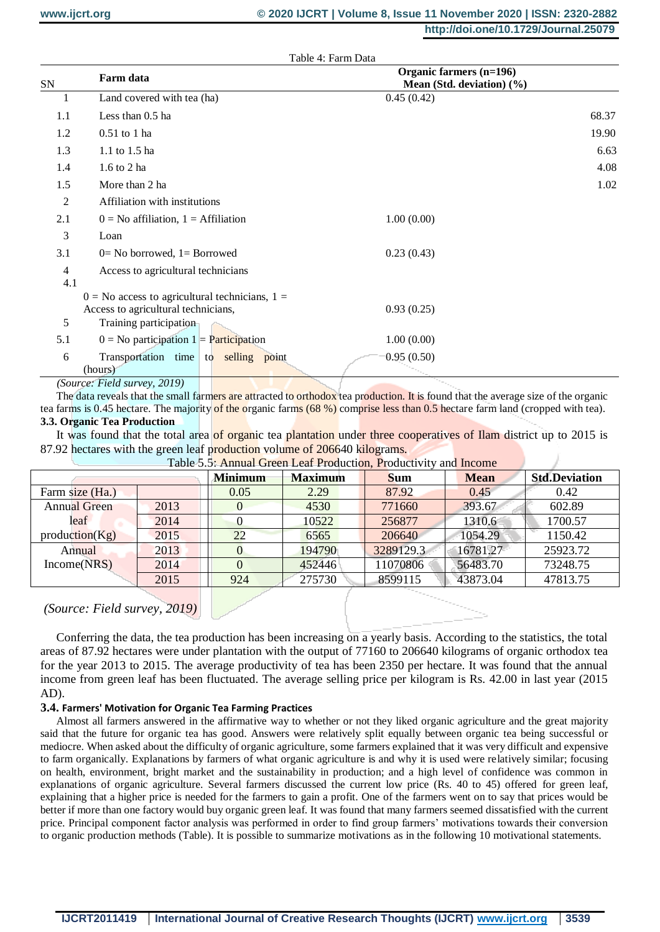|                       | Table 4: Farm Data                                 |                                                      |       |
|-----------------------|----------------------------------------------------|------------------------------------------------------|-------|
| SN                    | Farm data                                          | Organic farmers (n=196)<br>Mean (Std. deviation) (%) |       |
| 1                     | Land covered with tea (ha)                         | 0.45(0.42)                                           |       |
| 1.1                   | Less than 0.5 ha                                   |                                                      | 68.37 |
| 1.2                   | $0.51$ to 1 ha                                     |                                                      | 19.90 |
| 1.3                   | 1.1 to 1.5 ha                                      |                                                      | 6.63  |
| 1.4                   | 1.6 to 2 ha                                        |                                                      | 4.08  |
| 1.5                   | More than 2 ha                                     |                                                      | 1.02  |
| $\overline{2}$        | Affiliation with institutions                      |                                                      |       |
| 2.1                   | $0 = No$ affiliation, $1 = Affiliation$            | 1.00(0.00)                                           |       |
| 3                     | Loan                                               |                                                      |       |
| 3.1                   | $0=$ No borrowed, $1=$ Borrowed                    | 0.23(0.43)                                           |       |
| $\overline{4}$<br>4.1 | Access to agricultural technicians                 |                                                      |       |
|                       | $0 = No$ access to agricultural technicians, $1 =$ |                                                      |       |
|                       | Access to agricultural technicians,                | 0.93(0.25)                                           |       |
| 5                     | Training participation                             |                                                      |       |
| 5.1                   | $0 = No$ participation $1 = Participation$         | 1.00(0.00)                                           |       |
| 6                     | Transportation time to selling point<br>(hours)    | 0.95(0.50)                                           |       |
| $\sqrt{2}$            | $F: 11 \qquad \qquad \Delta(10)$                   |                                                      |       |

#### *(Source: Field survey, 2019)*

The data reveals that the small farmers are attracted to orthodox tea production. It is found that the average size of the organic tea farms is 0.45 hectare. The majority of the organic farms (68 %) comprise less than 0.5 hectare farm land (cropped with tea). **3.3. Organic Tea Production** 

It was found that the total area of organic tea plantation under three cooperatives of Ilam district up to 2015 is 87.92 hectares with the green leaf production volume of 206640 kilograms.

|                     | Table 5.5: Annual Green Leal Production, Productivity and income |                |                |            |             |                      |  |  |  |
|---------------------|------------------------------------------------------------------|----------------|----------------|------------|-------------|----------------------|--|--|--|
|                     |                                                                  | <b>Minimum</b> | <b>Maximum</b> | <b>Sum</b> | <b>Mean</b> | <b>Std.Deviation</b> |  |  |  |
| Farm size (Ha.)     |                                                                  | 0.05           | 2.29           | 87.92      | 0.45        | 0.42                 |  |  |  |
| <b>Annual Green</b> | 2013                                                             |                | 4530           | 771660     | 393.67      | 602.89               |  |  |  |
| leaf                | 2014                                                             | 0              | 10522          | 256877     | 1310.6      | 1700.57              |  |  |  |
| production(Kg)      | 2015                                                             | 22             | 6565           | 206640     | 1054.29     | 1150.42              |  |  |  |
| Annual              | 2013                                                             | $\overline{0}$ | 194790         | 3289129.3  | 16781.27    | 25923.72             |  |  |  |
| Income(NRS)         | 2014                                                             | $\Omega$       | 452446         | 11070806   | 56483.70    | 73248.75             |  |  |  |
|                     | 2015                                                             | 924            | 275730         | 8599115    | 43873.04    | 47813.75             |  |  |  |

Table 5.5: Annual Green Leaf Production, Productivity and Income

# *(Source: Field survey, 2019)*

Conferring the data, the tea production has been increasing on a yearly basis. According to the statistics, the total areas of 87.92 hectares were under plantation with the output of 77160 to 206640 kilograms of organic orthodox tea for the year 2013 to 2015. The average productivity of tea has been 2350 per hectare. It was found that the annual income from green leaf has been fluctuated. The average selling price per kilogram is Rs. 42.00 in last year (2015 AD).

#### **3.4. Farmers' Motivation for Organic Tea Farming Practices**

Almost all farmers answered in the affirmative way to whether or not they liked organic agriculture and the great majority said that the future for organic tea has good. Answers were relatively split equally between organic tea being successful or mediocre. When asked about the difficulty of organic agriculture, some farmers explained that it was very difficult and expensive to farm organically. Explanations by farmers of what organic agriculture is and why it is used were relatively similar; focusing on health, environment, bright market and the sustainability in production; and a high level of confidence was common in explanations of organic agriculture. Several farmers discussed the current low price (Rs. 40 to 45) offered for green leaf, explaining that a higher price is needed for the farmers to gain a profit. One of the farmers went on to say that prices would be better if more than one factory would buy organic green leaf. It was found that many farmers seemed dissatisfied with the current price. Principal component factor analysis was performed in order to find group farmers' motivations towards their conversion to organic production methods (Table). It is possible to summarize motivations as in the following 10 motivational statements.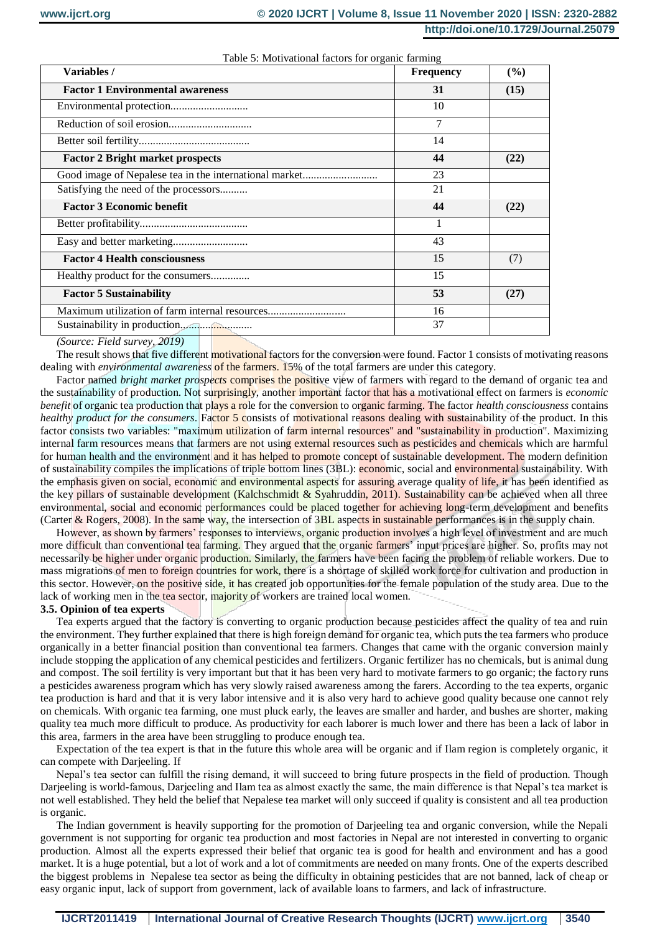| Variables /                                            | Frequency | (%)  |
|--------------------------------------------------------|-----------|------|
| <b>Factor 1 Environmental awareness</b>                | 31        | (15) |
|                                                        | 10        |      |
|                                                        | 7         |      |
|                                                        | 14        |      |
| <b>Factor 2 Bright market prospects</b>                | 44        | (22) |
| Good image of Nepalese tea in the international market | 23        |      |
| Satisfying the need of the processors                  | 21        |      |
| <b>Factor 3 Economic benefit</b>                       | 44        | (22) |
|                                                        | 1         |      |
|                                                        | 43        |      |
| <b>Factor 4 Health consciousness</b>                   | 15        | (7)  |
| Healthy product for the consumers                      | 15        |      |
| <b>Factor 5 Sustainability</b>                         | 53        | (27) |
| Maximum utilization of farm internal resources         | 16        |      |
|                                                        | 37        |      |

Table 5: Motivational factors for organic farming

*(Source: Field survey, 2019)* 

The result shows that five different motivational factors for the conversion were found. Factor 1 consists of motivating reasons dealing with *environmental awareness* of the farmers. 15% of the total farmers are under this category.

Factor named *bright market prospects* comprises the positive view of farmers with regard to the demand of organic tea and the sustainability of production. Not surprisingly, another important factor that has a motivational effect on farmers is *economic benefit* of organic tea production that plays a role for the conversion to organic farming. The factor *health consciousness* contains *healthy product for the consumers*. Factor 5 consists of motivational reasons dealing with sustainability of the product. In this factor consists two variables: "maximum utilization of farm internal resources" and "sustainability in production". Maximizing internal farm resources means that farmers are not using external resources such as pesticides and chemicals which are harmful for human health and the environment and it has helped to promote concept of sustainable development. The modern definition of sustainability compiles the implications of triple bottom lines (3BL): economic, social and environmental sustainability. With the emphasis given on social, economic and environmental aspects for assuring average quality of life, it has been identified as the key pillars of sustainable development (Kalchschmidt & Syahruddin, 2011). Sustainability can be achieved when all three environmental, social and economic performances could be placed together for achieving long-term development and benefits (Carter & Rogers, 2008). In the same way, the intersection of 3BL aspects in sustainable performances is in the supply chain.

However, as shown by farmers' responses to interviews, organic production involves a high level of investment and are much more difficult than conventional tea farming. They argued that the organic farmers' input prices are higher. So, profits may not necessarily be higher under organic production. Similarly, the farmers have been facing the problem of reliable workers. Due to mass migrations of men to foreign countries for work, there is a shortage of skilled work force for cultivation and production in this sector. However, on the positive side, it has created job opportunities for the female population of the study area. Due to the lack of working men in the tea sector, majority of workers are trained local women.

#### **3.5. Opinion of tea experts**

Tea experts argued that the factory is converting to organic production because pesticides affect the quality of tea and ruin the environment. They further explained that there is high foreign demand for organic tea, which puts the tea farmers who produce organically in a better financial position than conventional tea farmers. Changes that came with the organic conversion mainly include stopping the application of any chemical pesticides and fertilizers. Organic fertilizer has no chemicals, but is animal dung and compost. The soil fertility is very important but that it has been very hard to motivate farmers to go organic; the factory runs a pesticides awareness program which has very slowly raised awareness among the farers. According to the tea experts, organic tea production is hard and that it is very labor intensive and it is also very hard to achieve good quality because one cannot rely on chemicals. With organic tea farming, one must pluck early, the leaves are smaller and harder, and bushes are shorter, making quality tea much more difficult to produce. As productivity for each laborer is much lower and there has been a lack of labor in this area, farmers in the area have been struggling to produce enough tea.

Expectation of the tea expert is that in the future this whole area will be organic and if Ilam region is completely organic, it can compete with Darjeeling. If

Nepal's tea sector can fulfill the rising demand, it will succeed to bring future prospects in the field of production. Though Darjeeling is world-famous, Darjeeling and Ilam tea as almost exactly the same, the main difference is that Nepal's tea market is not well established. They held the belief that Nepalese tea market will only succeed if quality is consistent and all tea production is organic.

The Indian government is heavily supporting for the promotion of Darjeeling tea and organic conversion, while the Nepali government is not supporting for organic tea production and most factories in Nepal are not interested in converting to organic production. Almost all the experts expressed their belief that organic tea is good for health and environment and has a good market. It is a huge potential, but a lot of work and a lot of commitments are needed on many fronts. One of the experts described the biggest problems in Nepalese tea sector as being the difficulty in obtaining pesticides that are not banned, lack of cheap or easy organic input, lack of support from government, lack of available loans to farmers, and lack of infrastructure.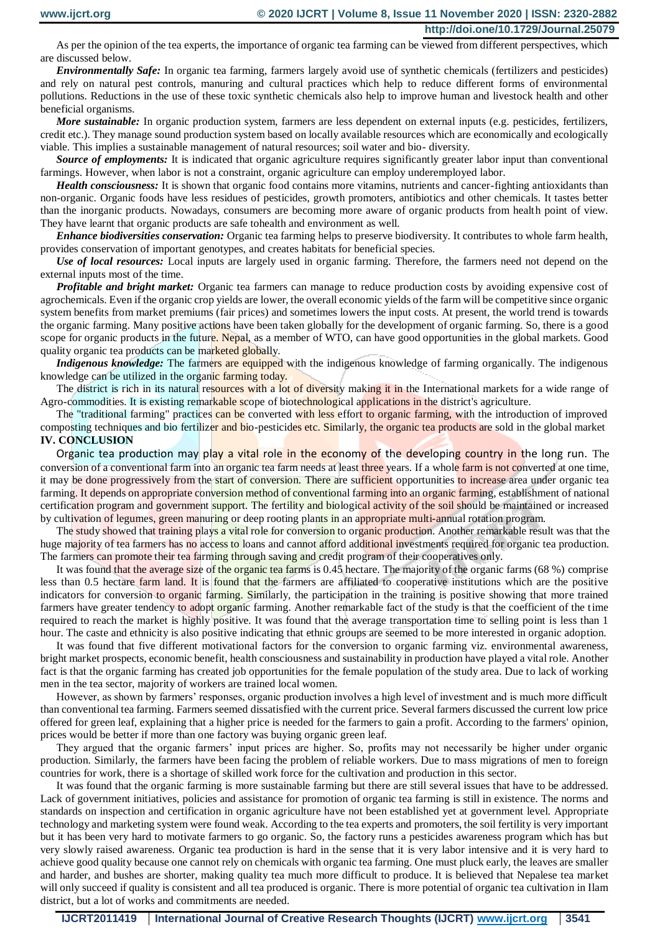As per the opinion of the tea experts, the importance of organic tea farming can be viewed from different perspectives, which are discussed below.

*Environmentally Safe:* In organic tea farming, farmers largely avoid use of synthetic chemicals (fertilizers and pesticides) and rely on natural pest controls, manuring and cultural practices which help to reduce different forms of environmental pollutions. Reductions in the use of these toxic synthetic chemicals also help to improve human and livestock health and other beneficial organisms.

*More sustainable:* In organic production system, farmers are less dependent on external inputs (e.g. pesticides, fertilizers, credit etc.). They manage sound production system based on locally available resources which are economically and ecologically viable. This implies a sustainable management of natural resources; soil water and bio- diversity.

*Source of employments:* It is indicated that organic agriculture requires significantly greater labor input than conventional farmings. However, when labor is not a constraint, organic agriculture can employ underemployed labor.

*Health consciousness:* It is shown that organic food contains more vitamins, nutrients and cancer-fighting antioxidants than non-organic. Organic foods have less residues of pesticides, growth promoters, antibiotics and other chemicals. It tastes better than the inorganic products. Nowadays, consumers are becoming more aware of organic products from health point of view. They have learnt that organic products are safe tohealth and environment as well.

*Enhance biodiversities conservation:* Organic tea farming helps to preserve biodiversity. It contributes to whole farm health, provides conservation of important genotypes, and creates habitats for beneficial species.

*Use of local resources:* Local inputs are largely used in organic farming. Therefore, the farmers need not depend on the external inputs most of the time.

*Profitable and bright market:* Organic tea farmers can manage to reduce production costs by avoiding expensive cost of agrochemicals. Even if the organic crop yields are lower, the overall economic yields of the farm will be competitive since organic system benefits from market premiums (fair prices) and sometimes lowers the input costs. At present, the world trend is towards the organic farming. Many positive actions have been taken globally for the development of organic farming. So, there is a good scope for organic products in the future. Nepal, as a member of WTO, can have good opportunities in the global markets. Good quality organic tea products can be marketed globally.

*Indigenous knowledge:* The farmers are equipped with the indigenous knowledge of farming organically. The indigenous knowledge can be utilized in the organic farming today.

The district is rich in its natural resources with a lot of diversity making it in the International markets for a wide range of Agro-commodities. It is existing remarkable scope of biotechnological applications in the district's agriculture.

The "traditional farming" practices can be converted with less effort to organic farming, with the introduction of improved composting techniques and bio fertilizer and bio-pesticides etc. Similarly, the organic tea products are sold in the global market **IV. CONCLUSION**

Organic tea production may play a vital role in the economy of the developing country in the long run. The conversion of a conventional farm into an organic tea farm needs at least three years. If a whole farm is not converted at one time, it may be done progressively from the start of conversion. There are sufficient opportunities to increase area under organic tea farming. It depends on appropriate conversion method of conventional farming into an organic farming, establishment of national certification program and government support. The fertility and biological activity of the soil should be maintained or increased by cultivation of legumes, green manuring or deep rooting plants in an appropriate multi-annual rotation program.

The study showed that training plays a vital role for conversion to organic production. Another remarkable result was that the huge majority of tea farmers has no access to loans and cannot afford additional investments required for organic tea production. The farmers can promote their tea farming through saving and credit program of their cooperatives only.

It was found that the average size of the organic tea farms is 0.45 hectare. The majority of the organic farms (68 %) comprise less than 0.5 hectare farm land. It is found that the farmers are affiliated to cooperative institutions which are the positive indicators for conversion to organic farming. Similarly, the participation in the training is positive showing that more trained farmers have greater tendency to adopt organic farming. Another remarkable fact of the study is that the coefficient of the time required to reach the market is highly positive. It was found that the average transportation time to selling point is less than 1 hour. The caste and ethnicity is also positive indicating that ethnic groups are seemed to be more interested in organic adoption.

It was found that five different motivational factors for the conversion to organic farming viz. environmental awareness, bright market prospects, economic benefit, health consciousness and sustainability in production have played a vital role. Another fact is that the organic farming has created job opportunities for the female population of the study area. Due to lack of working men in the tea sector, majority of workers are trained local women.

However, as shown by farmers' responses, organic production involves a high level of investment and is much more difficult than conventional tea farming. Farmers seemed dissatisfied with the current price. Several farmers discussed the current low price offered for green leaf, explaining that a higher price is needed for the farmers to gain a profit. According to the farmers' opinion, prices would be better if more than one factory was buying organic green leaf.

They argued that the organic farmers' input prices are higher. So, profits may not necessarily be higher under organic production. Similarly, the farmers have been facing the problem of reliable workers. Due to mass migrations of men to foreign countries for work, there is a shortage of skilled work force for the cultivation and production in this sector.

It was found that the organic farming is more sustainable farming but there are still several issues that have to be addressed. Lack of government initiatives, policies and assistance for promotion of organic tea farming is still in existence. The norms and standards on inspection and certification in organic agriculture have not been established yet at government level. Appropriate technology and marketing system were found weak. According to the tea experts and promoters, the soil fertility is very important but it has been very hard to motivate farmers to go organic. So, the factory runs a pesticides awareness program which has but very slowly raised awareness. Organic tea production is hard in the sense that it is very labor intensive and it is very hard to achieve good quality because one cannot rely on chemicals with organic tea farming. One must pluck early, the leaves are smaller and harder, and bushes are shorter, making quality tea much more difficult to produce. It is believed that Nepalese tea market will only succeed if quality is consistent and all tea produced is organic. There is more potential of organic tea cultivation in Ilam district, but a lot of works and commitments are needed.